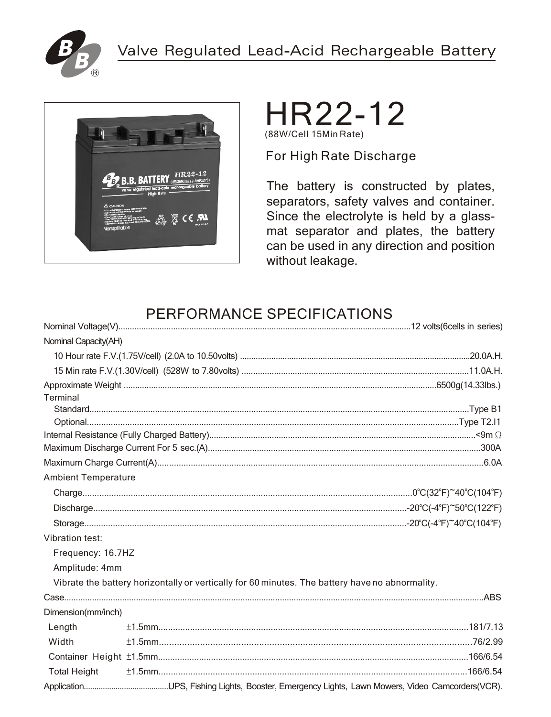





For High Rate Discharge

The battery is constructed by plates, separators, safety valves and container. Since the electrolyte is held by a glassmat separator and plates, the battery can be used in any direction and position without leakage.

# PERFORMANCE SPECIFICATIONS

| Nominal Capacity(AH)       |                                                                                                 |
|----------------------------|-------------------------------------------------------------------------------------------------|
|                            |                                                                                                 |
|                            |                                                                                                 |
|                            |                                                                                                 |
| Terminal                   |                                                                                                 |
|                            |                                                                                                 |
|                            |                                                                                                 |
|                            |                                                                                                 |
|                            |                                                                                                 |
|                            |                                                                                                 |
| <b>Ambient Temperature</b> |                                                                                                 |
|                            |                                                                                                 |
|                            |                                                                                                 |
|                            |                                                                                                 |
| Vibration test:            |                                                                                                 |
| Frequency: 16.7HZ          |                                                                                                 |
| Amplitude: 4mm             |                                                                                                 |
|                            | Vibrate the battery horizontally or vertically for 60 minutes. The battery have no abnormality. |
|                            |                                                                                                 |
| Dimension(mm/inch)         |                                                                                                 |
| Length                     |                                                                                                 |
| Width                      |                                                                                                 |
|                            |                                                                                                 |
| <b>Total Height</b>        |                                                                                                 |
|                            |                                                                                                 |